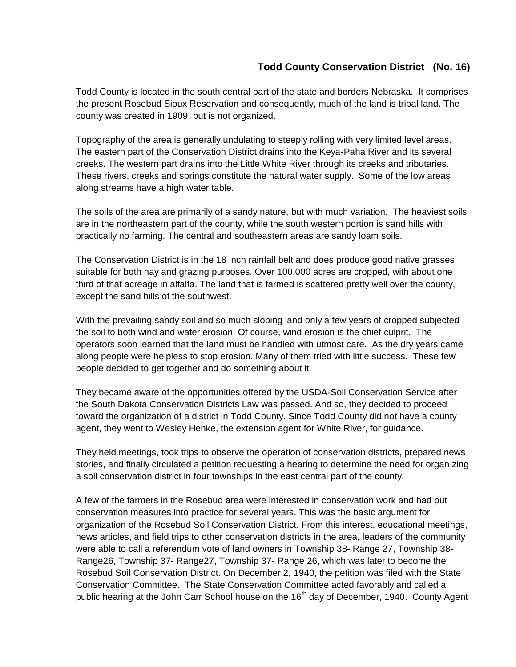## **Todd County Conservation District (No. 16)**

Todd County is located in the south central part of the state and borders Nebraska. It comprises the present Rosebud Sioux Reservation and consequently, much of the land is tribal land. The county was created in 1909, but is not organized.

Topography of the area is generally undulating to steeply rolling with very limited level areas. The eastern part of the Conservation District drains into the Keya-Paha River and its several creeks. The western part drains into the Little White River through its creeks and tributaries. These rivers, creeks and springs constitute the natural water supply. Some of the low areas along streams have a high water table.

The soils of the area are primarily of a sandy nature, but with much variation. The heaviest soils are in the northeastern part of the county, while the south western portion is sand hills with practically no farming. The central and southeastern areas are sandy loam soils.

The Conservation District is in the 18 inch rainfall belt and does produce good native grasses suitable for both hay and grazing purposes. Over 100,000 acres are cropped, with about one third of that acreage in alfalfa. The land that is farmed is scattered pretty well over the county, except the sand hills of the southwest.

With the prevailing sandy soil and so much sloping land only a few years of cropped subjected the soil to both wind and water erosion. Of course, wind erosion is the chief culprit. The operators soon learned that the land must be handled with utmost care. As the dry years came along people were helpless to stop erosion. Many of them tried with little success. These few people decided to get together and do something about it.

They became aware of the opportunities offered by the USDA-Soil Conservation Service after the South Dakota Conservation Districts Law was passed. And so, they decided to proceed toward the organization of a district in Todd County. Since Todd County did not have a county agent, they went to Wesley Henke, the extension agent for White River, for guidance.

They held meetings, took trips to observe the operation of conservation districts, prepared news stories, and finally circulated a petition requesting a hearing to determine the need for organizing a soil conservation district in four townships in the east central part of the county.

A few of the farmers in the Rosebud area were interested in conservation work and had put conservation measures into practice for several years. This was the basic argument for organization of the Rosebud Soil Conservation District. From this interest, educational meetings, news articles, and field trips to other conservation districts in the area, leaders of the community were able to call a referendum vote of land owners in Township 38- Range 27, Township 38- Range26, Township 37- Range27, Township 37- Range 26, which was later to become the Rosebud Soil Conservation District. On December 2, 1940, the petition was filed with the State Conservation Committee. The State Conservation Committee acted favorably and called a public hearing at the John Carr School house on the 16<sup>th</sup> day of December, 1940. County Agent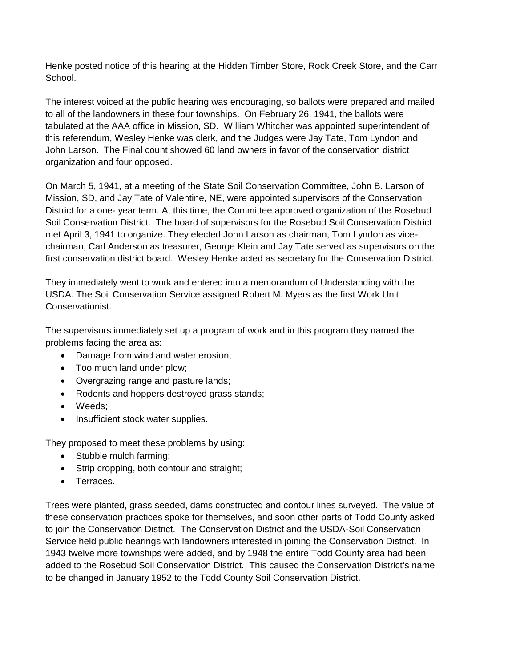Henke posted notice of this hearing at the Hidden Timber Store, Rock Creek Store, and the Carr School.

The interest voiced at the public hearing was encouraging, so ballots were prepared and mailed to all of the landowners in these four townships. On February 26, 1941, the ballots were tabulated at the AAA office in Mission, SD. William Whitcher was appointed superintendent of this referendum, Wesley Henke was clerk, and the Judges were Jay Tate, Tom Lyndon and John Larson. The Final count showed 60 land owners in favor of the conservation district organization and four opposed.

On March 5, 1941, at a meeting of the State Soil Conservation Committee, John B. Larson of Mission, SD, and Jay Tate of Valentine, NE, were appointed supervisors of the Conservation District for a one- year term. At this time, the Committee approved organization of the Rosebud Soil Conservation District. The board of supervisors for the Rosebud Soil Conservation District met April 3, 1941 to organize. They elected John Larson as chairman, Tom Lyndon as vicechairman, Carl Anderson as treasurer, George Klein and Jay Tate served as supervisors on the first conservation district board. Wesley Henke acted as secretary for the Conservation District.

They immediately went to work and entered into a memorandum of Understanding with the USDA. The Soil Conservation Service assigned Robert M. Myers as the first Work Unit Conservationist.

The supervisors immediately set up a program of work and in this program they named the problems facing the area as:

- Damage from wind and water erosion;
- Too much land under plow;
- Overgrazing range and pasture lands;
- Rodents and hoppers destroyed grass stands;
- Weeds:
- Insufficient stock water supplies.

They proposed to meet these problems by using:

- Stubble mulch farming;
- Strip cropping, both contour and straight;
- Terraces.

Trees were planted, grass seeded, dams constructed and contour lines surveyed. The value of these conservation practices spoke for themselves, and soon other parts of Todd County asked to join the Conservation District. The Conservation District and the USDA-Soil Conservation Service held public hearings with landowners interested in joining the Conservation District. In 1943 twelve more townships were added, and by 1948 the entire Todd County area had been added to the Rosebud Soil Conservation District. This caused the Conservation District's name to be changed in January 1952 to the Todd County Soil Conservation District.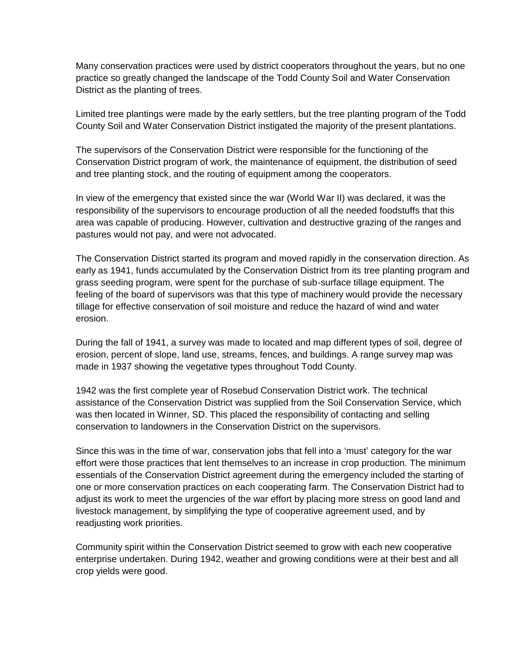Many conservation practices were used by district cooperators throughout the years, but no one practice so greatly changed the landscape of the Todd County Soil and Water Conservation District as the planting of trees.

Limited tree plantings were made by the early settlers, but the tree planting program of the Todd County Soil and Water Conservation District instigated the majority of the present plantations.

The supervisors of the Conservation District were responsible for the functioning of the Conservation District program of work, the maintenance of equipment, the distribution of seed and tree planting stock, and the routing of equipment among the cooperators.

In view of the emergency that existed since the war (World War II) was declared, it was the responsibility of the supervisors to encourage production of all the needed foodstuffs that this area was capable of producing. However, cultivation and destructive grazing of the ranges and pastures would not pay, and were not advocated.

The Conservation District started its program and moved rapidly in the conservation direction. As early as 1941, funds accumulated by the Conservation District from its tree planting program and grass seeding program, were spent for the purchase of sub-surface tillage equipment. The feeling of the board of supervisors was that this type of machinery would provide the necessary tillage for effective conservation of soil moisture and reduce the hazard of wind and water erosion.

During the fall of 1941, a survey was made to located and map different types of soil, degree of erosion, percent of slope, land use, streams, fences, and buildings. A range survey map was made in 1937 showing the vegetative types throughout Todd County.

1942 was the first complete year of Rosebud Conservation District work. The technical assistance of the Conservation District was supplied from the Soil Conservation Service, which was then located in Winner, SD. This placed the responsibility of contacting and selling conservation to landowners in the Conservation District on the supervisors.

Since this was in the time of war, conservation jobs that fell into a 'must' category for the war effort were those practices that lent themselves to an increase in crop production. The minimum essentials of the Conservation District agreement during the emergency included the starting of one or more conservation practices on each cooperating farm. The Conservation District had to adjust its work to meet the urgencies of the war effort by placing more stress on good land and livestock management, by simplifying the type of cooperative agreement used, and by readjusting work priorities.

Community spirit within the Conservation District seemed to grow with each new cooperative enterprise undertaken. During 1942, weather and growing conditions were at their best and all crop yields were good.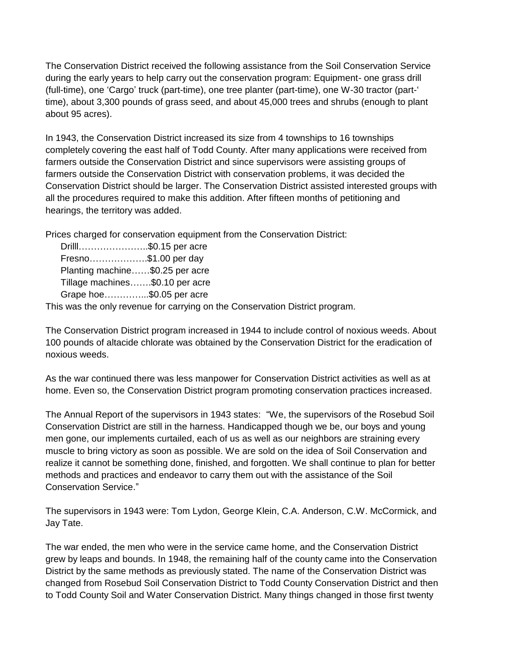The Conservation District received the following assistance from the Soil Conservation Service during the early years to help carry out the conservation program: Equipment- one grass drill (full-time), one 'Cargo' truck (part-time), one tree planter (part-time), one W-30 tractor (part-' time), about 3,300 pounds of grass seed, and about 45,000 trees and shrubs (enough to plant about 95 acres).

In 1943, the Conservation District increased its size from 4 townships to 16 townships completely covering the east half of Todd County. After many applications were received from farmers outside the Conservation District and since supervisors were assisting groups of farmers outside the Conservation District with conservation problems, it was decided the Conservation District should be larger. The Conservation District assisted interested groups with all the procedures required to make this addition. After fifteen months of petitioning and hearings, the territory was added.

Prices charged for conservation equipment from the Conservation District:

Drilll…………………..\$0.15 per acre Fresno……………….\$1.00 per day Planting machine……\$0.25 per acre Tillage machines…….\$0.10 per acre Grape hoe…………...\$0.05 per acre

This was the only revenue for carrying on the Conservation District program.

The Conservation District program increased in 1944 to include control of noxious weeds. About 100 pounds of altacide chlorate was obtained by the Conservation District for the eradication of noxious weeds.

As the war continued there was less manpower for Conservation District activities as well as at home. Even so, the Conservation District program promoting conservation practices increased.

The Annual Report of the supervisors in 1943 states: "We, the supervisors of the Rosebud Soil Conservation District are still in the harness. Handicapped though we be, our boys and young men gone, our implements curtailed, each of us as well as our neighbors are straining every muscle to bring victory as soon as possible. We are sold on the idea of Soil Conservation and realize it cannot be something done, finished, and forgotten. We shall continue to plan for better methods and practices and endeavor to carry them out with the assistance of the Soil Conservation Service."

The supervisors in 1943 were: Tom Lydon, George Klein, C.A. Anderson, C.W. McCormick, and Jay Tate.

The war ended, the men who were in the service came home, and the Conservation District grew by leaps and bounds. In 1948, the remaining half of the county came into the Conservation District by the same methods as previously stated. The name of the Conservation District was changed from Rosebud Soil Conservation District to Todd County Conservation District and then to Todd County Soil and Water Conservation District. Many things changed in those first twenty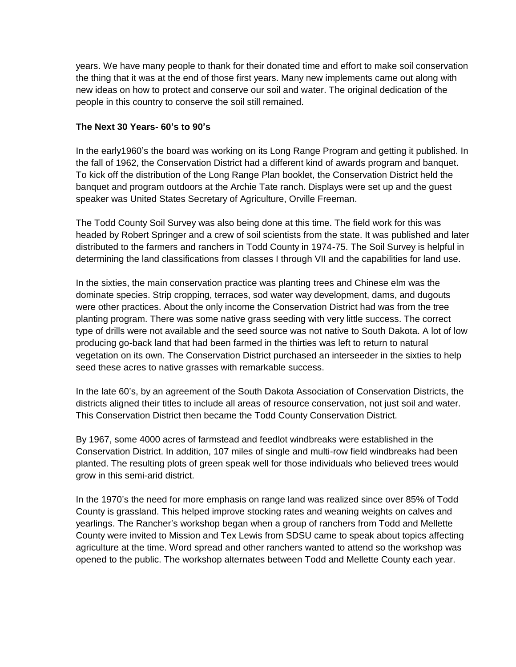years. We have many people to thank for their donated time and effort to make soil conservation the thing that it was at the end of those first years. Many new implements came out along with new ideas on how to protect and conserve our soil and water. The original dedication of the people in this country to conserve the soil still remained.

## **The Next 30 Years- 60's to 90's**

In the early1960's the board was working on its Long Range Program and getting it published. In the fall of 1962, the Conservation District had a different kind of awards program and banquet. To kick off the distribution of the Long Range Plan booklet, the Conservation District held the banquet and program outdoors at the Archie Tate ranch. Displays were set up and the guest speaker was United States Secretary of Agriculture, Orville Freeman.

The Todd County Soil Survey was also being done at this time. The field work for this was headed by Robert Springer and a crew of soil scientists from the state. It was published and later distributed to the farmers and ranchers in Todd County in 1974-75. The Soil Survey is helpful in determining the land classifications from classes I through VII and the capabilities for land use.

In the sixties, the main conservation practice was planting trees and Chinese elm was the dominate species. Strip cropping, terraces, sod water way development, dams, and dugouts were other practices. About the only income the Conservation District had was from the tree planting program. There was some native grass seeding with very little success. The correct type of drills were not available and the seed source was not native to South Dakota. A lot of low producing go-back land that had been farmed in the thirties was left to return to natural vegetation on its own. The Conservation District purchased an interseeder in the sixties to help seed these acres to native grasses with remarkable success.

In the late 60's, by an agreement of the South Dakota Association of Conservation Districts, the districts aligned their titles to include all areas of resource conservation, not just soil and water. This Conservation District then became the Todd County Conservation District.

By 1967, some 4000 acres of farmstead and feedlot windbreaks were established in the Conservation District. In addition, 107 miles of single and multi-row field windbreaks had been planted. The resulting plots of green speak well for those individuals who believed trees would grow in this semi-arid district.

In the 1970's the need for more emphasis on range land was realized since over 85% of Todd County is grassland. This helped improve stocking rates and weaning weights on calves and yearlings. The Rancher's workshop began when a group of ranchers from Todd and Mellette County were invited to Mission and Tex Lewis from SDSU came to speak about topics affecting agriculture at the time. Word spread and other ranchers wanted to attend so the workshop was opened to the public. The workshop alternates between Todd and Mellette County each year.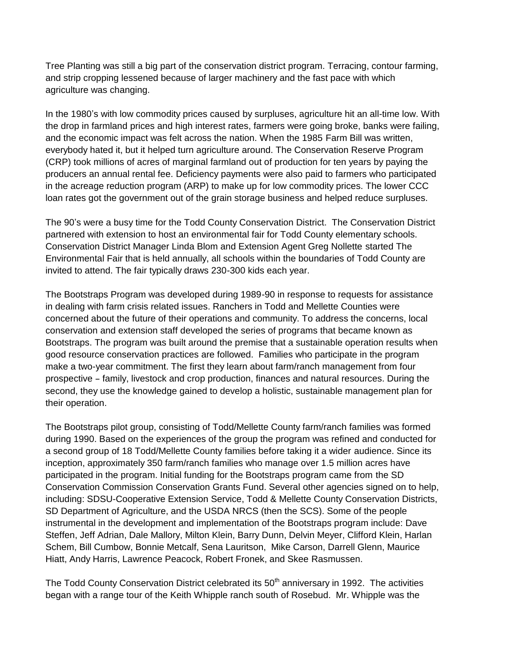Tree Planting was still a big part of the conservation district program. Terracing, contour farming, and strip cropping lessened because of larger machinery and the fast pace with which agriculture was changing.

In the 1980's with low commodity prices caused by surpluses, agriculture hit an all-time low. With the drop in farmland prices and high interest rates, farmers were going broke, banks were failing, and the economic impact was felt across the nation. When the 1985 Farm Bill was written, everybody hated it, but it helped turn agriculture around. The Conservation Reserve Program (CRP) took millions of acres of marginal farmland out of production for ten years by paying the producers an annual rental fee. Deficiency payments were also paid to farmers who participated in the acreage reduction program (ARP) to make up for low commodity prices. The lower CCC loan rates got the government out of the grain storage business and helped reduce surpluses.

The 90's were a busy time for the Todd County Conservation District. The Conservation District partnered with extension to host an environmental fair for Todd County elementary schools. Conservation District Manager Linda Blom and Extension Agent Greg Nollette started The Environmental Fair that is held annually, all schools within the boundaries of Todd County are invited to attend. The fair typically draws 230-300 kids each year.

The Bootstraps Program was developed during 1989-90 in response to requests for assistance in dealing with farm crisis related issues. Ranchers in Todd and Mellette Counties were concerned about the future of their operations and community. To address the concerns, local conservation and extension staff developed the series of programs that became known as Bootstraps. The program was built around the premise that a sustainable operation results when good resource conservation practices are followed. Families who participate in the program make a two-year commitment. The first they learn about farm/ranch management from four prospective - family, livestock and crop production, finances and natural resources. During the second, they use the knowledge gained to develop a holistic, sustainable management plan for their operation.

The Bootstraps pilot group, consisting of Todd/Mellette County farm/ranch families was formed during 1990. Based on the experiences of the group the program was refined and conducted for a second group of 18 Todd/Mellette County families before taking it a wider audience. Since its inception, approximately 350 farm/ranch families who manage over 1.5 million acres have participated in the program. Initial funding for the Bootstraps program came from the SD Conservation Commission Conservation Grants Fund. Several other agencies signed on to help, including: SDSU-Cooperative Extension Service, Todd & Mellette County Conservation Districts, SD Department of Agriculture, and the USDA NRCS (then the SCS). Some of the people instrumental in the development and implementation of the Bootstraps program include: Dave Steffen, Jeff Adrian, Dale Mallory, Milton Klein, Barry Dunn, Delvin Meyer, Clifford Klein, Harlan Schem, Bill Cumbow, Bonnie Metcalf, Sena Lauritson, Mike Carson, Darrell Glenn, Maurice Hiatt, Andy Harris, Lawrence Peacock, Robert Fronek, and Skee Rasmussen.

The Todd County Conservation District celebrated its  $50<sup>th</sup>$  anniversary in 1992. The activities began with a range tour of the Keith Whipple ranch south of Rosebud. Mr. Whipple was the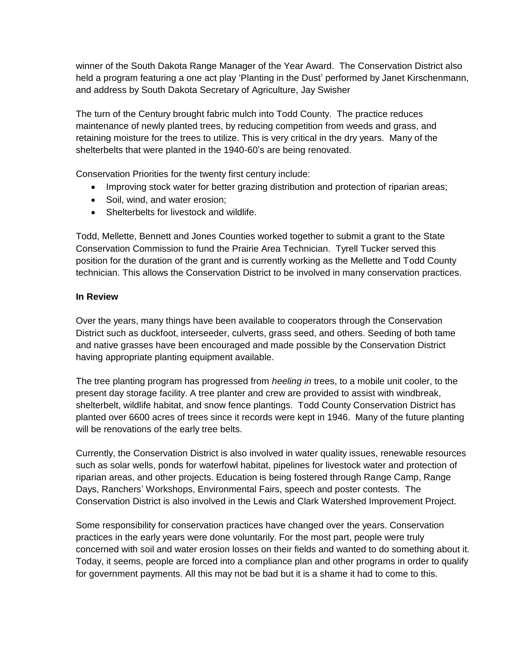winner of the South Dakota Range Manager of the Year Award. The Conservation District also held a program featuring a one act play 'Planting in the Dust' performed by Janet Kirschenmann, and address by South Dakota Secretary of Agriculture, Jay Swisher

The turn of the Century brought fabric mulch into Todd County. The practice reduces maintenance of newly planted trees, by reducing competition from weeds and grass, and retaining moisture for the trees to utilize. This is very critical in the dry years. Many of the shelterbelts that were planted in the 1940-60's are being renovated.

Conservation Priorities for the twenty first century include:

- Improving stock water for better grazing distribution and protection of riparian areas;
- Soil, wind, and water erosion;
- Shelterbelts for livestock and wildlife.

Todd, Mellette, Bennett and Jones Counties worked together to submit a grant to the State Conservation Commission to fund the Prairie Area Technician. Tyrell Tucker served this position for the duration of the grant and is currently working as the Mellette and Todd County technician. This allows the Conservation District to be involved in many conservation practices.

## **In Review**

Over the years, many things have been available to cooperators through the Conservation District such as duckfoot, interseeder, culverts, grass seed, and others. Seeding of both tame and native grasses have been encouraged and made possible by the Conservation District having appropriate planting equipment available.

The tree planting program has progressed from *heeling in* trees, to a mobile unit cooler, to the present day storage facility. A tree planter and crew are provided to assist with windbreak, shelterbelt, wildlife habitat, and snow fence plantings. Todd County Conservation District has planted over 6600 acres of trees since it records were kept in 1946. Many of the future planting will be renovations of the early tree belts.

Currently, the Conservation District is also involved in water quality issues, renewable resources such as solar wells, ponds for waterfowl habitat, pipelines for livestock water and protection of riparian areas, and other projects. Education is being fostered through Range Camp, Range Days, Ranchers' Workshops, Environmental Fairs, speech and poster contests. The Conservation District is also involved in the Lewis and Clark Watershed Improvement Project.

Some responsibility for conservation practices have changed over the years. Conservation practices in the early years were done voluntarily. For the most part, people were truly concerned with soil and water erosion losses on their fields and wanted to do something about it. Today, it seems, people are forced into a compliance plan and other programs in order to qualify for government payments. All this may not be bad but it is a shame it had to come to this.